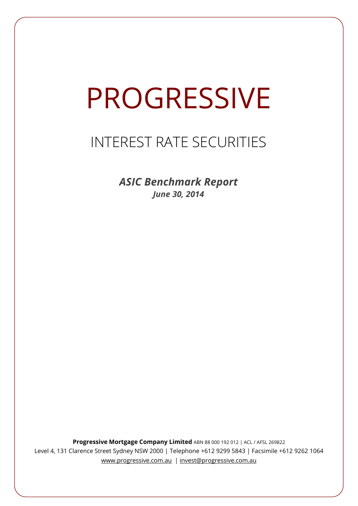# PROGRESSIVE

## INTEREST RATE SECURITIES

*ASIC Benchmark Report June 30, 2014*

**Progressive Mortgage Company Limited** ABN 88 000 192 012 | ACL / AFSL 269822 Level 4, 131 Clarence Street Sydney NSW 2000 | Telephone +612 9299 5843 | Facsimile +612 9262 1064 www.progressive.com.au | invest@progressive.com.au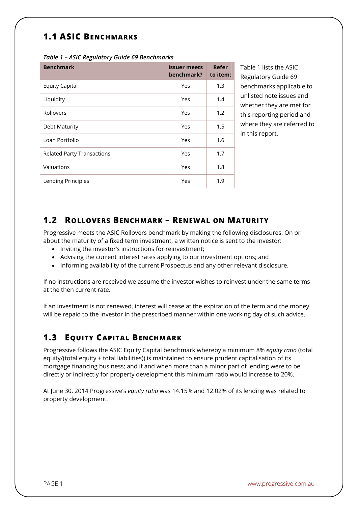### **1.1 ASIC BENCHMARKS**

| <b>Benchmark</b>                  | <b>Issuer meets</b><br>benchmark? | Refer<br>to item: |
|-----------------------------------|-----------------------------------|-------------------|
| <b>Equity Capital</b>             | Yes                               | 1.3               |
| Liquidity                         | Yes                               | 1.4               |
| Rollovers                         | Yes                               | 1.2               |
| Debt Maturity                     | Yes                               | 1.5               |
| Loan Portfolio                    | Yes                               | 1.6               |
| <b>Related Party Transactions</b> | Yes                               | 1.7               |
| Valuations                        | Yes                               | 1.8               |
| Lending Principles                | Yes                               | 1.9               |

*Table 1 – ASIC Regulatory Guide 69 Benchmarks* 

Table 1 lists the ASIC Regulatory Guide 69 benchmarks applicable to unlisted note issues and whether they are met for this reporting period and where they are referred to in this report.

#### **1.2 ROLLOVERS BENCHMARK – RENEWAL ON MATURITY**

Progressive meets the ASIC Rollovers benchmark by making the following disclosures. On or about the maturity of a fixed term investment, a written notice is sent to the Investor:

- Inviting the investor's instructions for reinvestment;
- Advising the current interest rates applying to our investment options; and
- Informing availability of the current Prospectus and any other relevant disclosure.

If no instructions are received we assume the investor wishes to reinvest under the same terms at the then current rate.

If an investment is not renewed, interest will cease at the expiration of the term and the money will be repaid to the investor in the prescribed manner within one working day of such advice.

#### **1.3 EQUITY CAPITAL BENCHMARK**

Progressive follows the ASIC Equity Capital benchmark whereby a minimum 8% *equity ratio* (total equity/(total equity + total liabilities)) is maintained to ensure prudent capitalisation of its mortgage financing business; and if and when more than a minor part of lending were to be directly or indirectly for property development this minimum ratio would increase to 20%.

At June 30, 2014 Progressive's *equity ratio* was 14.15% and 12.02% of its lending was related to property development.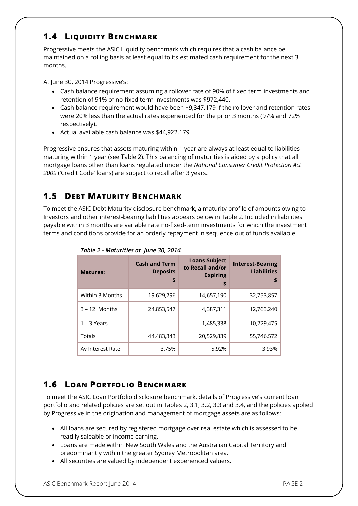#### **1.4 LIQUIDITY BENCHMARK**

Progressive meets the ASIC Liquidity benchmark which requires that a cash balance be maintained on a rolling basis at least equal to its estimated cash requirement for the next 3 months.

At June 30, 2014 Progressive's:

- Cash balance requirement assuming a rollover rate of 90% of fixed term investments and retention of 91% of no fixed term investments was \$972,440.
- Cash balance requirement would have been \$9,347,179 if the rollover and retention rates were 20% less than the actual rates experienced for the prior 3 months (97% and 72% respectively).
- Actual available cash balance was \$44,922,179

Progressive ensures that assets maturing within 1 year are always at least equal to liabilities maturing within 1 year (see Table 2). This balancing of maturities is aided by a policy that all mortgage loans other than loans regulated under the *National Consumer Credit Protection Act 2009* ('Credit Code' loans) are subject to recall after 3 years.

#### **1.5 DEBT MATURITY BENCHMARK**

To meet the ASIC Debt Maturity disclosure benchmark, a maturity profile of amounts owing to Investors and other interest-bearing liabilities appears below in Table 2. Included in liabilities payable within 3 months are variable rate no-fixed-term investments for which the investment terms and conditions provide for an orderly repayment in sequence out of funds available.

| <b>Matures:</b>  | <b>Cash and Term</b><br><b>Deposits</b><br>\$ | <b>Loans Subject</b><br>to Recall and/or<br><b>Expiring</b><br>\$ | <b>Interest-Bearing</b><br><b>Liabilities</b><br>S |
|------------------|-----------------------------------------------|-------------------------------------------------------------------|----------------------------------------------------|
| Within 3 Months  | 19,629,796                                    | 14,657,190                                                        | 32,753,857                                         |
| $3 - 12$ Months  | 24,853,547                                    | 4,387,311                                                         | 12,763,240                                         |
| $1 - 3$ Years    |                                               | 1,485,338                                                         | 10,229,475                                         |
| Totals           | 44,483,343                                    | 20,529,839                                                        | 55,746,572                                         |
| Av Interest Rate | 3.75%                                         | 5.92%                                                             | 3.93%                                              |

*Table 2 - Maturities at June 30, 2014*

#### **1.6 LOAN PORTFOLIO BENCHMARK**

To meet the ASIC Loan Portfolio disclosure benchmark, details of Progressive's current loan portfolio and related policies are set out in Tables 2, 3.1, 3.2, 3.3 and 3.4, and the policies applied by Progressive in the origination and management of mortgage assets are as follows:

- All loans are secured by registered mortgage over real estate which is assessed to be readily saleable or income earning.
- Loans are made within New South Wales and the Australian Capital Territory and predominantly within the greater Sydney Metropolitan area.
- All securities are valued by independent experienced valuers.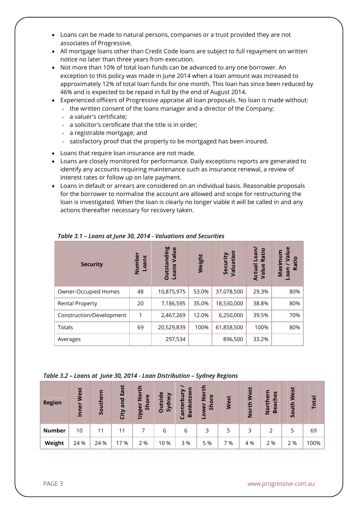- Loans can be made to natural persons, companies or a trust provided they are not associates of Progressive.
- All mortgage loans other than Credit Code loans are subject to full repayment on written notice no later than three years from execution.
- Not more than 10% of total loan funds can be advanced to any one borrower. An exception to this policy was made in June 2014 when a loan amount was increased to approximately 12% of total loan funds for one month. This loan has since been reduced by 46% and is expected to be repaid in full by the end of August 2014.
- Experienced officers of Progressive appraise all loan proposals. No loan is made without:
	- the written consent of the loans manager and a director of the Company;
	- a valuer's certificate;
	- a solicitor's certificate that the title is in order;
	- a registrable mortgage; and
	- satisfactory proof that the property to be mortgaged has been insured.
- Loans that require loan insurance are not made.
- Loans are closely monitored for performance. Daily exceptions reports are generated to identify any accounts requiring maintenance such as insurance renewal, a review of interest rates or follow up on late payment.
- Loans in default or arrears are considered on an individual basis. Reasonable proposals for the borrower to normalise the account are allowed and scope for restructuring the loan is investigated. When the loan is clearly no longer viable it will be called in and any actions thereafter necessary for recovery taken.

| <b>Security</b>          | Numbe<br>Loans | <b>Outstanding</b><br>$\mathbf{\omega}$<br>Value<br>Loans | Weight | Valuation<br>Security | Loan/<br>Ratio<br><b>Actual</b><br>Value | $\mathbf{e}$<br>ā<br>Maximu<br>Ratio<br>Loan |
|--------------------------|----------------|-----------------------------------------------------------|--------|-----------------------|------------------------------------------|----------------------------------------------|
| Owner-Occupied Homes     | 48             | 10,875,975                                                | 53.0%  | 37,078,500            | 29.3%                                    | 80%                                          |
| <b>Rental Property</b>   | 20             | 7,186,595                                                 | 35.0%  | 18,530,000            | 38.8%                                    | 80%                                          |
| Construction/Development | 1              | 2,467,269                                                 | 12.0%  | 6,250,000             | 39.5%                                    | 70%                                          |
| Totals                   | 69             | 20,529,839                                                | 100%   | 61,858,500            | 100%                                     | 80%                                          |
| Averages                 |                | 297,534                                                   |        | 896,500               | 33.2%                                    |                                              |

*Table 3.1 – Loans at June 30, 2014 - Valuations and Securities*

#### *Table 3.2 – Loans at June 30, 2014 - Loan Distribution – Sydney Regions*

| <b>Region</b> | West<br>Inner | Southern | East<br>and<br>City | £<br>$\bar{e}$<br>ore<br>$\overline{5}$<br>Upper | utside<br>ney<br>Syd<br>Ō | δN<br>≒<br>nterbi<br>nkst<br>Ba<br>ලි | North<br>$\mathbf{\omega}$<br>►<br>$\overline{O}$<br>$\tilde{5}$<br>Lower | West | West<br>rth<br>$\overline{2}$ | ပ္စ<br>$\omega$<br>동<br><b>North</b><br>Bea | West<br>uth<br><u>s</u> | <b>Total</b> |
|---------------|---------------|----------|---------------------|--------------------------------------------------|---------------------------|---------------------------------------|---------------------------------------------------------------------------|------|-------------------------------|---------------------------------------------|-------------------------|--------------|
| <b>Number</b> | 10            | 11       | 11                  |                                                  | 6                         | 6                                     |                                                                           | 5    |                               |                                             | 5                       | 69           |
| Weight        | 24 %          | 24 %     | 17 %                | 2 %                                              | 10 %                      | 3%                                    | 5 %                                                                       | 7 %  | 4 %                           | 2 %                                         | 2 %                     | 100%         |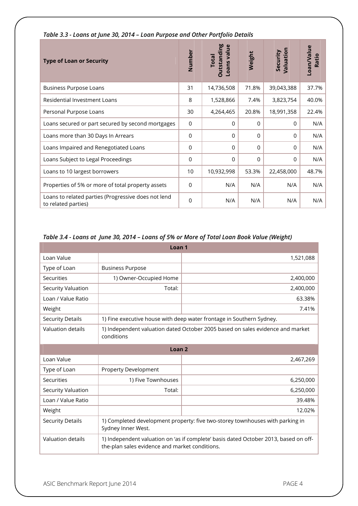| <b>Type of Loan or Security</b>                                            | Number          | <b>Outstanding</b><br>Loans value<br><b>Total</b> | Weight      | Valuation<br>Security | Loan/Value<br>Ratio |
|----------------------------------------------------------------------------|-----------------|---------------------------------------------------|-------------|-----------------------|---------------------|
| <b>Business Purpose Loans</b>                                              | 31              | 14,736,508                                        | 71.8%       | 39,043,388            | 37.7%               |
| Residential Investment Loans                                               | 8               | 1,528,866                                         | 7.4%        | 3,823,754             | 40.0%               |
| Personal Purpose Loans                                                     | 30              | 4,264,465                                         | 20.8%       | 18,991,358            | 22.4%               |
| Loans secured or part secured by second mortgages                          | 0               | 0                                                 | $\Omega$    | $\Omega$              | N/A                 |
| Loans more than 30 Days In Arrears                                         | $\Omega$        | 0                                                 | $\Omega$    | $\Omega$              | N/A                 |
| Loans Impaired and Renegotiated Loans                                      | 0               | 0                                                 | $\mathbf 0$ | 0                     | N/A                 |
| Loans Subject to Legal Proceedings                                         | $\overline{0}$  | 0                                                 | $\Omega$    | $\Omega$              | N/A                 |
| Loans to 10 largest borrowers                                              | 10 <sup>°</sup> | 10,932,998                                        | 53.3%       | 22,458,000            | 48.7%               |
| Properties of 5% or more of total property assets                          | $\Omega$        | N/A                                               | N/A         | N/A                   | N/A                 |
| Loans to related parties (Progressive does not lend<br>to related parties) | $\Omega$        | N/A                                               | N/A         | N/A                   | N/A                 |

#### *Table 3.3 - Loans at June 30, 2014 – Loan Purpose and Other Portfolio Details*

#### *Table 3.4 - Loans at June 30, 2014 – Loans of 5% or More of Total Loan Book Value (Weight)*

| Loan <sub>1</sub>         |                                                                                                                                        |                                                                      |  |  |  |  |
|---------------------------|----------------------------------------------------------------------------------------------------------------------------------------|----------------------------------------------------------------------|--|--|--|--|
| Loan Value                |                                                                                                                                        | 1,521,088                                                            |  |  |  |  |
| Type of Loan              | <b>Business Purpose</b>                                                                                                                |                                                                      |  |  |  |  |
| Securities                | 1) Owner-Occupied Home                                                                                                                 | 2,400,000                                                            |  |  |  |  |
| <b>Security Valuation</b> | Total:                                                                                                                                 | 2,400,000                                                            |  |  |  |  |
| Loan / Value Ratio        |                                                                                                                                        | 63.38%                                                               |  |  |  |  |
| Weight                    |                                                                                                                                        | 7.41%                                                                |  |  |  |  |
| <b>Security Details</b>   |                                                                                                                                        | 1) Fine executive house with deep water frontage in Southern Sydney. |  |  |  |  |
| Valuation details         | 1) Independent valuation dated October 2005 based on sales evidence and market<br>conditions                                           |                                                                      |  |  |  |  |
| Loan <sub>2</sub>         |                                                                                                                                        |                                                                      |  |  |  |  |
| Loan Value                |                                                                                                                                        | 2,467,269                                                            |  |  |  |  |
| Type of Loan              | <b>Property Development</b>                                                                                                            |                                                                      |  |  |  |  |
| Securities                | 1) Five Townhouses                                                                                                                     | 6,250,000                                                            |  |  |  |  |
| <b>Security Valuation</b> | Total:                                                                                                                                 | 6,250,000                                                            |  |  |  |  |
| Loan / Value Ratio        |                                                                                                                                        | 39.48%                                                               |  |  |  |  |
| Weight                    |                                                                                                                                        | 12.02%                                                               |  |  |  |  |
| <b>Security Details</b>   | 1) Completed development property: five two-storey townhouses with parking in<br>Sydney Inner West.                                    |                                                                      |  |  |  |  |
| Valuation details         | 1) Independent valuation on 'as if complete' basis dated October 2013, based on off-<br>the-plan sales evidence and market conditions. |                                                                      |  |  |  |  |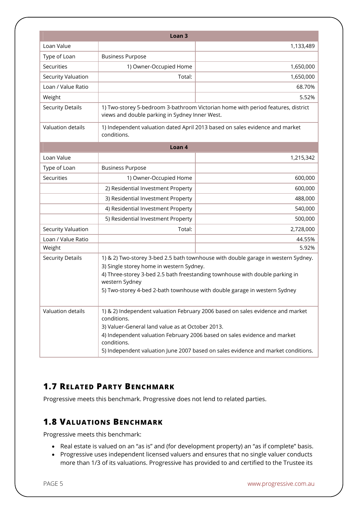|                         | Loan <sub>3</sub>                                                                                                                                                                                                                                                                                                                  |                                                                                  |  |  |
|-------------------------|------------------------------------------------------------------------------------------------------------------------------------------------------------------------------------------------------------------------------------------------------------------------------------------------------------------------------------|----------------------------------------------------------------------------------|--|--|
| Loan Value              |                                                                                                                                                                                                                                                                                                                                    | 1,133,489                                                                        |  |  |
| Type of Loan            | <b>Business Purpose</b>                                                                                                                                                                                                                                                                                                            |                                                                                  |  |  |
| Securities              | 1) Owner-Occupied Home                                                                                                                                                                                                                                                                                                             | 1,650,000                                                                        |  |  |
| Security Valuation      | Total:                                                                                                                                                                                                                                                                                                                             | 1,650,000                                                                        |  |  |
| Loan / Value Ratio      |                                                                                                                                                                                                                                                                                                                                    | 68.70%                                                                           |  |  |
| Weight                  |                                                                                                                                                                                                                                                                                                                                    | 5.52%                                                                            |  |  |
| <b>Security Details</b> | views and double parking in Sydney Inner West.                                                                                                                                                                                                                                                                                     | 1) Two-storey 5-bedroom 3-bathroom Victorian home with period features, district |  |  |
| Valuation details       | conditions.                                                                                                                                                                                                                                                                                                                        | 1) Independent valuation dated April 2013 based on sales evidence and market     |  |  |
|                         | Loan 4                                                                                                                                                                                                                                                                                                                             |                                                                                  |  |  |
| Loan Value              |                                                                                                                                                                                                                                                                                                                                    | 1,215,342                                                                        |  |  |
| Type of Loan            | <b>Business Purpose</b>                                                                                                                                                                                                                                                                                                            |                                                                                  |  |  |
| Securities              | 1) Owner-Occupied Home                                                                                                                                                                                                                                                                                                             | 600,000                                                                          |  |  |
|                         | 2) Residential Investment Property                                                                                                                                                                                                                                                                                                 | 600,000                                                                          |  |  |
|                         | 3) Residential Investment Property                                                                                                                                                                                                                                                                                                 | 488,000                                                                          |  |  |
|                         | 4) Residential Investment Property                                                                                                                                                                                                                                                                                                 |                                                                                  |  |  |
|                         | 5) Residential Investment Property                                                                                                                                                                                                                                                                                                 | 500,000                                                                          |  |  |
| Security Valuation      | Total:                                                                                                                                                                                                                                                                                                                             | 2,728,000                                                                        |  |  |
| Loan / Value Ratio      |                                                                                                                                                                                                                                                                                                                                    | 44.55%                                                                           |  |  |
| Weight                  |                                                                                                                                                                                                                                                                                                                                    | 5.92%                                                                            |  |  |
| <b>Security Details</b> | 1) & 2) Two-storey 3-bed 2.5 bath townhouse with double garage in western Sydney.<br>3) Single storey home in western Sydney.<br>4) Three-storey 3-bed 2.5 bath freestanding townhouse with double parking in<br>western Sydney<br>5) Two-storey 4-bed 2-bath townhouse with double garage in western Sydney                       |                                                                                  |  |  |
| Valuation details       | 1) & 2) Independent valuation February 2006 based on sales evidence and market<br>conditions.<br>3) Valuer-General land value as at October 2013.<br>4) Independent valuation February 2006 based on sales evidence and market<br>conditions.<br>5) Independent valuation June 2007 based on sales evidence and market conditions. |                                                                                  |  |  |

### **1.7 RELATED PARTY BENCHMARK**

Progressive meets this benchmark. Progressive does not lend to related parties.

#### **1.8 VALUATIONS BENCHMARK**

Progressive meets this benchmark:

- Real estate is valued on an "as is" and (for development property) an "as if complete" basis.
- Progressive uses independent licensed valuers and ensures that no single valuer conducts more than 1/3 of its valuations. Progressive has provided to and certified to the Trustee its